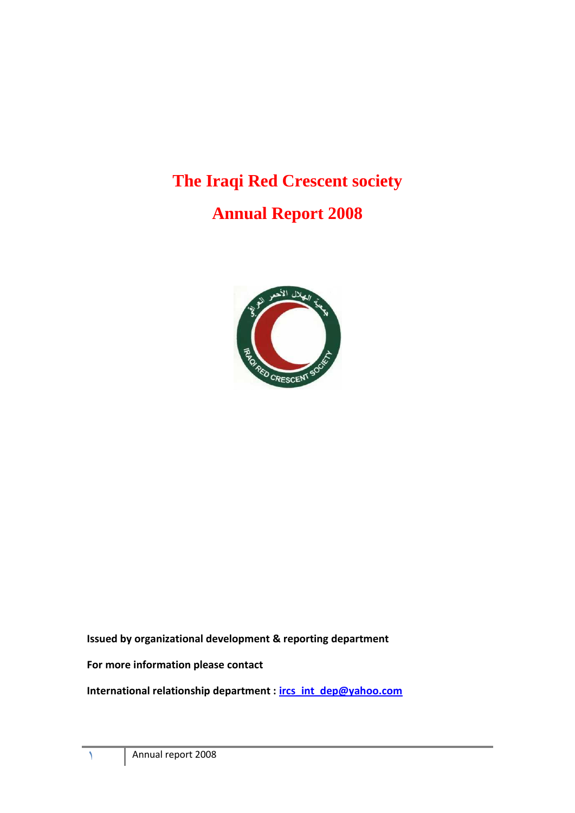# **The Iraqi Red Crescent society**

# **Annual Report 2008**



# **Issued by organizational development & reporting department**

## **For more information please contact**

**International relationship department : [ircs\\_int\\_dep@yahoo.com](mailto:ircs_int_dep@yahoo.com)**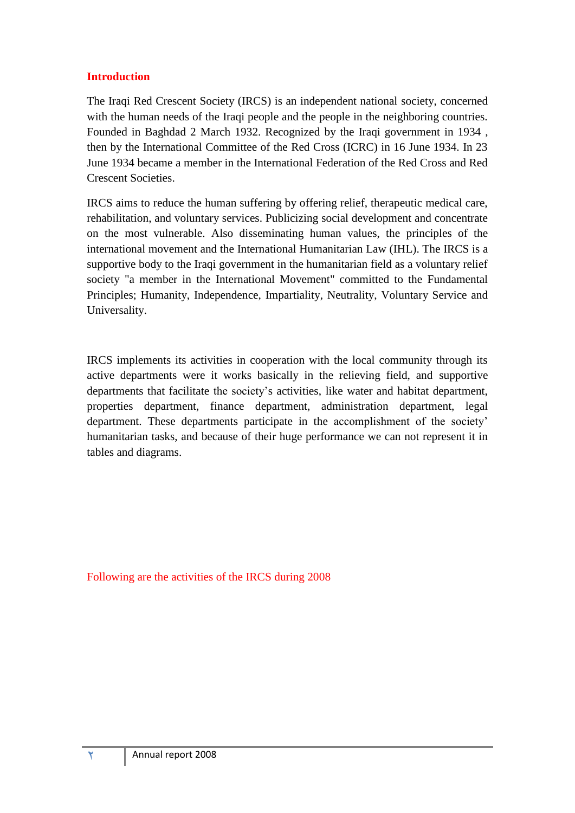# **Introduction**

The Iraqi Red Crescent Society (IRCS) is an independent national society, concerned with the human needs of the Iraqi people and the people in the neighboring countries. Founded in Baghdad 2 March 1932. Recognized by the Iraqi government in 1934 , then by the International Committee of the Red Cross (ICRC) in 16 June 1934. In 23 June 1934 became a member in the International Federation of the Red Cross and Red Crescent Societies.

IRCS aims to reduce the human suffering by offering relief, therapeutic medical care, rehabilitation, and voluntary services. Publicizing social development and concentrate on the most vulnerable. Also disseminating human values, the principles of the international movement and the International Humanitarian Law (IHL). The IRCS is a supportive body to the Iraqi government in the humanitarian field as a voluntary relief society "a member in the International Movement" committed to the Fundamental Principles; Humanity, Independence, Impartiality, Neutrality, Voluntary Service and Universality.

IRCS implements its activities in cooperation with the local community through its active departments were it works basically in the relieving field, and supportive departments that facilitate the society's activities, like water and habitat department, properties department, finance department, administration department, legal department. These departments participate in the accomplishment of the society' humanitarian tasks, and because of their huge performance we can not represent it in tables and diagrams.

Following are the activities of the IRCS during 2008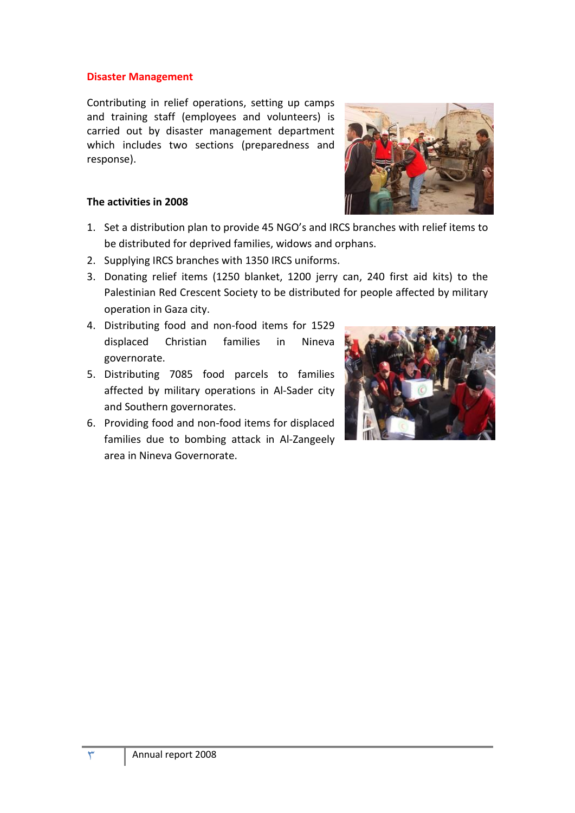#### **Disaster Management**

Contributing in relief operations, setting up camps and training staff (employees and volunteers) is carried out by disaster management department which includes two sections (preparedness and response).

## **The activities in 2008**

- 1. Set a distribution plan to provide 45 NGO's and IRCS branches with relief items to be distributed for deprived families, widows and orphans.
- 2. Supplying IRCS branches with 1350 IRCS uniforms.
- 3. Donating relief items (1250 blanket, 1200 jerry can, 240 first aid kits) to the Palestinian Red Crescent Society to be distributed for people affected by military operation in Gaza city.
- 4. Distributing food and non-food items for 1529 displaced Christian families in Nineva governorate.
- 5. Distributing 7085 food parcels to families affected by military operations in Al-Sader city and Southern governorates.
- 6. Providing food and non-food items for displaced families due to bombing attack in Al-Zangeely area in Nineva Governorate.



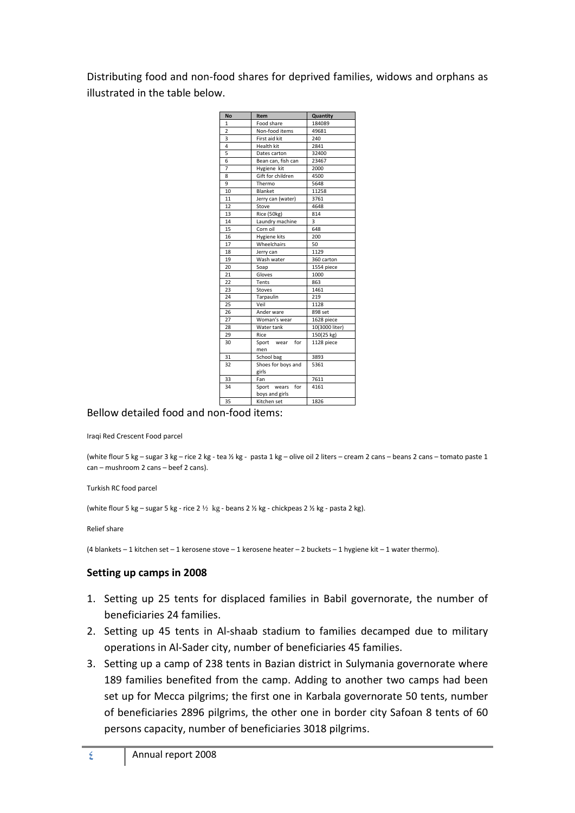Distributing food and non-food shares for deprived families, widows and orphans as illustrated in the table below.

| <b>No</b>      | Item                  | Quantity       |  |  |
|----------------|-----------------------|----------------|--|--|
| 1              | Food share            | 184089         |  |  |
| $\overline{2}$ | Non-food items        | 49681          |  |  |
| 3              | First aid kit         | 240            |  |  |
| 4              | Health kit            | 2841           |  |  |
| 5              | Dates carton          | 32400          |  |  |
| 6              | Bean can, fish can    | 23467          |  |  |
| 7              | Hygiene kit           | 2000           |  |  |
| 8              | Gift for children     | 4500           |  |  |
| 9              | Thermo                | 5648           |  |  |
| 10             | Blanket               | 11258          |  |  |
| 11             | Jerry can (water)     | 3761           |  |  |
| 12             | Stove                 | 4648           |  |  |
| 13             | Rice (50kg)           | 814            |  |  |
| 14             | Laundry machine       | 3              |  |  |
| 15             | Corn oil              | 648            |  |  |
| 16             | Hygiene kits          | 200            |  |  |
| 17             | Wheelchairs           | 50             |  |  |
| 18             | Jerry can             | 1129           |  |  |
| 19             | Wash water            | 360 carton     |  |  |
| 20             | Soap                  | 1554 piece     |  |  |
| 21             | Gloves                | 1000           |  |  |
| 22             | Tents                 | 863            |  |  |
| 23             | Stoves                | 1461           |  |  |
| 24             | Tarpaulin             | 219            |  |  |
| 25             | Veil                  | 1128           |  |  |
| 26             | Ander ware            | 898 set        |  |  |
| 27             | Woman's wear          | 1628 piece     |  |  |
| 28             | Water tank            | 10(3000 liter) |  |  |
| 29             | Rice                  | 150(25 kg)     |  |  |
| 30             | wear for<br>Sport     | 1128 piece     |  |  |
|                | men                   |                |  |  |
| 31             | School bag            | 3893           |  |  |
| 32             | Shoes for boys and    | 5361           |  |  |
|                | girls                 |                |  |  |
| 33             | Fan                   | 7611           |  |  |
| 34             | for<br>Sport<br>wears | 4161           |  |  |
|                | boys and girls        |                |  |  |
| 35             | Kitchen set           | 1826           |  |  |

## Bellow detailed food and non-food items:

Iraqi Red Crescent Food parcel

(white flour 5 kg – sugar 3 kg – rice 2 kg - tea ½ kg - pasta 1 kg – olive oil 2 liters – cream 2 cans – beans 2 cans – tomato paste 1 can – mushroom 2 cans – beef 2 cans).

Turkish RC food parcel

(white flour 5 kg – sugar 5 kg - rice 2  $\frac{1}{2}$  kg - beans 2  $\frac{1}{2}$  kg - chickpeas 2  $\frac{1}{2}$  kg - pasta 2 kg).

Relief share

(4 blankets – 1 kitchen set – 1 kerosene stove – 1 kerosene heater – 2 buckets – 1 hygiene kit – 1 water thermo).

#### **Setting up camps in 2008**

- 1. Setting up 25 tents for displaced families in Babil governorate, the number of beneficiaries 24 families.
- 2. Setting up 45 tents in Al-shaab stadium to families decamped due to military operations in Al-Sader city, number of beneficiaries 45 families.
- 3. Setting up a camp of 238 tents in Bazian district in Sulymania governorate where 189 families benefited from the camp. Adding to another two camps had been set up for Mecca pilgrims; the first one in Karbala governorate 50 tents, number of beneficiaries 2896 pilgrims, the other one in border city Safoan 8 tents of 60 persons capacity, number of beneficiaries 3018 pilgrims.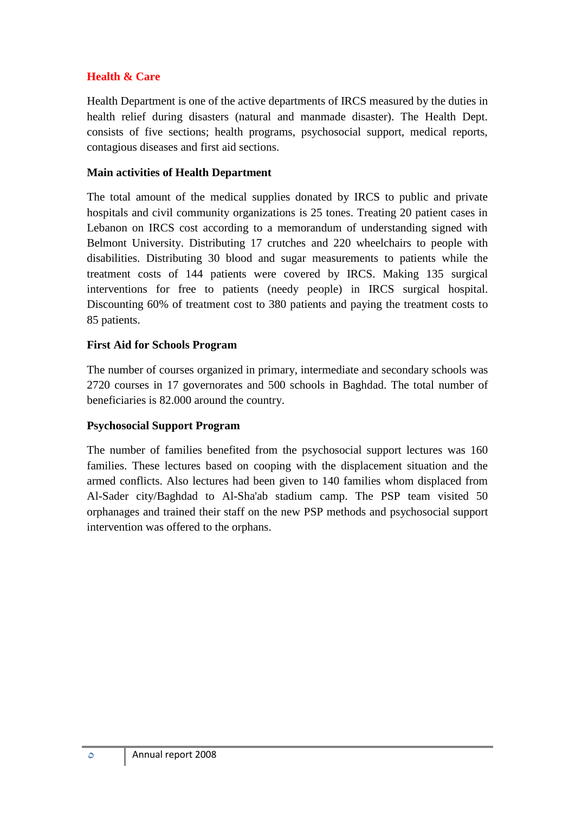# **Health & Care**

Health Department is one of the active departments of IRCS measured by the duties in health relief during disasters (natural and manmade disaster). The Health Dept. consists of five sections; health programs, psychosocial support, medical reports, contagious diseases and first aid sections.

## **Main activities of Health Department**

The total amount of the medical supplies donated by IRCS to public and private hospitals and civil community organizations is 25 tones. Treating 20 patient cases in Lebanon on IRCS cost according to a memorandum of understanding signed with Belmont University. Distributing 17 crutches and 220 wheelchairs to people with disabilities. Distributing 30 blood and sugar measurements to patients while the treatment costs of 144 patients were covered by IRCS. Making 135 surgical interventions for free to patients (needy people) in IRCS surgical hospital. Discounting 60% of treatment cost to 380 patients and paying the treatment costs to 85 patients.

# **First Aid for Schools Program**

The number of courses organized in primary, intermediate and secondary schools was 2720 courses in 17 governorates and 500 schools in Baghdad. The total number of beneficiaries is 82.000 around the country.

# **Psychosocial Support Program**

The number of families benefited from the psychosocial support lectures was 160 families. These lectures based on cooping with the displacement situation and the armed conflicts. Also lectures had been given to 140 families whom displaced from Al-Sader city/Baghdad to Al-Sha'ab stadium camp. The PSP team visited 50 orphanages and trained their staff on the new PSP methods and psychosocial support intervention was offered to the orphans.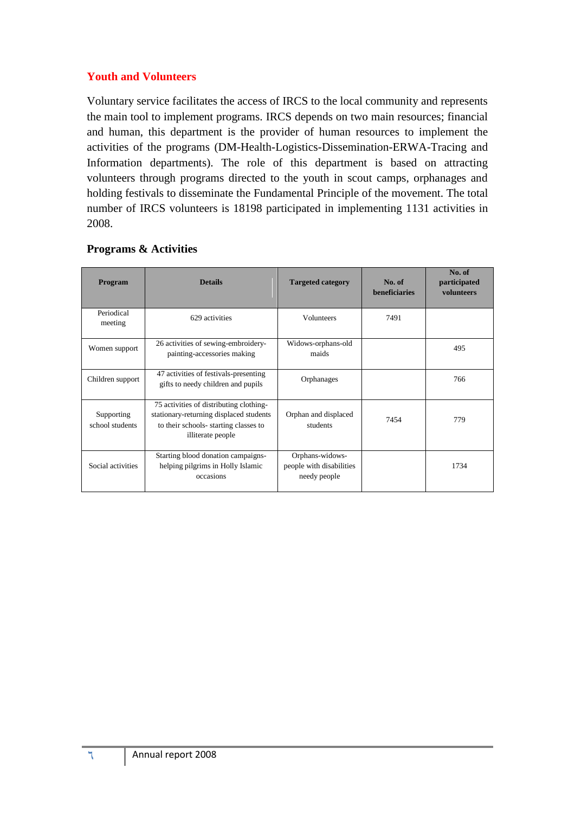# **Youth and Volunteers**

Voluntary service facilitates the access of IRCS to the local community and represents the main tool to implement programs. IRCS depends on two main resources; financial and human, this department is the provider of human resources to implement the activities of the programs (DM-Health-Logistics-Dissemination-ERWA-Tracing and Information departments). The role of this department is based on attracting volunteers through programs directed to the youth in scout camps, orphanages and holding festivals to disseminate the Fundamental Principle of the movement. The total number of IRCS volunteers is 18198 participated in implementing 1131 activities in 2008.

| <b>Program</b>                | <b>Details</b>                                                                                                                                  | <b>Targeted category</b>                                    | No. of<br><b>beneficiaries</b> | No. of<br>participated<br>volunteers |
|-------------------------------|-------------------------------------------------------------------------------------------------------------------------------------------------|-------------------------------------------------------------|--------------------------------|--------------------------------------|
| Periodical<br>meeting         | 629 activities                                                                                                                                  | <b>Volunteers</b>                                           | 7491                           |                                      |
| Women support                 | 26 activities of sewing-embroidery-<br>painting-accessories making                                                                              | Widows-orphans-old<br>maids                                 |                                | 495                                  |
| Children support              | 47 activities of festivals-presenting<br>gifts to needy children and pupils                                                                     | Orphanages                                                  |                                | 766                                  |
| Supporting<br>school students | 75 activities of distributing clothing-<br>stationary-returning displaced students<br>to their schools-starting classes to<br>illiterate people | Orphan and displaced<br>students                            | 7454                           | 779                                  |
| Social activities             | Starting blood donation campaigns-<br>helping pilgrims in Holly Islamic<br>occasions                                                            | Orphans-widows-<br>people with disabilities<br>needy people |                                | 1734                                 |

# **Programs & Activities**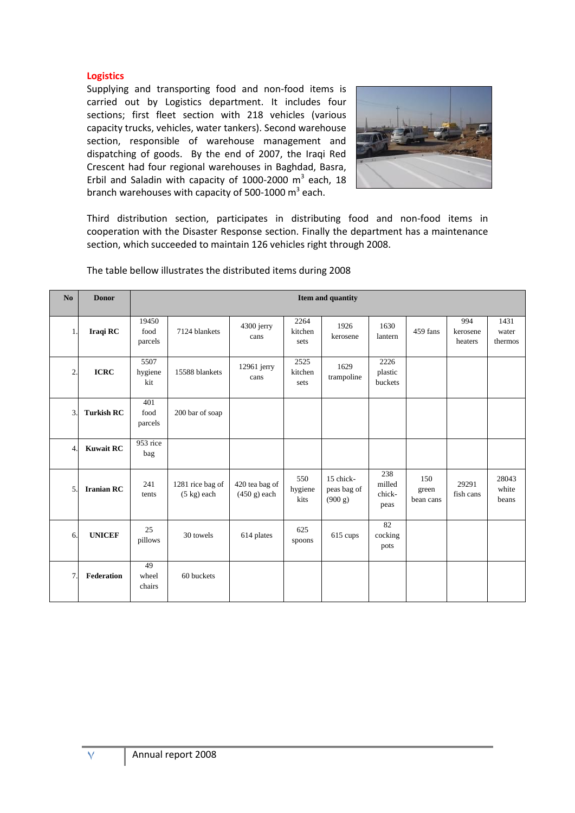#### **Logistics**

Supplying and transporting food and non-food items is carried out by Logistics department. It includes four sections; first fleet section with 218 vehicles (various capacity trucks, vehicles, water tankers). Second warehouse section, responsible of warehouse management and dispatching of goods. By the end of 2007, the Iraqi Red Crescent had four regional warehouses in Baghdad, Basra, Erbil and Saladin with capacity of 1000-2000  $m^3$  each, 18 branch warehouses with capacity of 500-1000 m<sup>3</sup> each.



Third distribution section, participates in distributing food and non-food items in cooperation with the Disaster Response section. Finally the department has a maintenance section, which succeeded to maintain 126 vehicles right through 2008.

| No             | <b>Donor</b>      |                          | Item and quantity                         |                                  |                         |                                     |                                 |                           |                            |                          |
|----------------|-------------------|--------------------------|-------------------------------------------|----------------------------------|-------------------------|-------------------------------------|---------------------------------|---------------------------|----------------------------|--------------------------|
| $\mathbf{1}$   | Iraqi RC          | 19450<br>food<br>parcels | 7124 blankets                             | 4300 jerry<br>cans               | 2264<br>kitchen<br>sets | 1926<br>kerosene                    | 1630<br>lantern                 | 459 fans                  | 994<br>kerosene<br>heaters | 1431<br>water<br>thermos |
| $\mathfrak{2}$ | <b>ICRC</b>       | 5507<br>hygiene<br>kit   | 15588 blankets                            | 12961 jerry<br>cans              | 2525<br>kitchen<br>sets | 1629<br>trampoline                  | 2226<br>plastic<br>buckets      |                           |                            |                          |
| 3.             | <b>Turkish RC</b> | 401<br>food<br>parcels   | 200 bar of soap                           |                                  |                         |                                     |                                 |                           |                            |                          |
| $\overline{4}$ | <b>Kuwait RC</b>  | 953 rice<br>bag          |                                           |                                  |                         |                                     |                                 |                           |                            |                          |
| 5.             | <b>Iranian RC</b> | 241<br>tents             | 1281 rice bag of<br>$(5 \text{ kg})$ each | 420 tea bag of<br>$(450 g)$ each | 550<br>hygiene<br>kits  | 15 chick-<br>peas bag of<br>(900 g) | 238<br>milled<br>chick-<br>peas | 150<br>green<br>bean cans | 29291<br>fish cans         | 28043<br>white<br>beans  |
| 6.             | <b>UNICEF</b>     | 25<br>pillows            | 30 towels                                 | 614 plates                       | 625<br>spoons           | 615 cups                            | 82<br>cocking<br>pots           |                           |                            |                          |
| $\overline{7}$ | Federation        | 49<br>wheel<br>chairs    | 60 buckets                                |                                  |                         |                                     |                                 |                           |                            |                          |

The table bellow illustrates the distributed items during 2008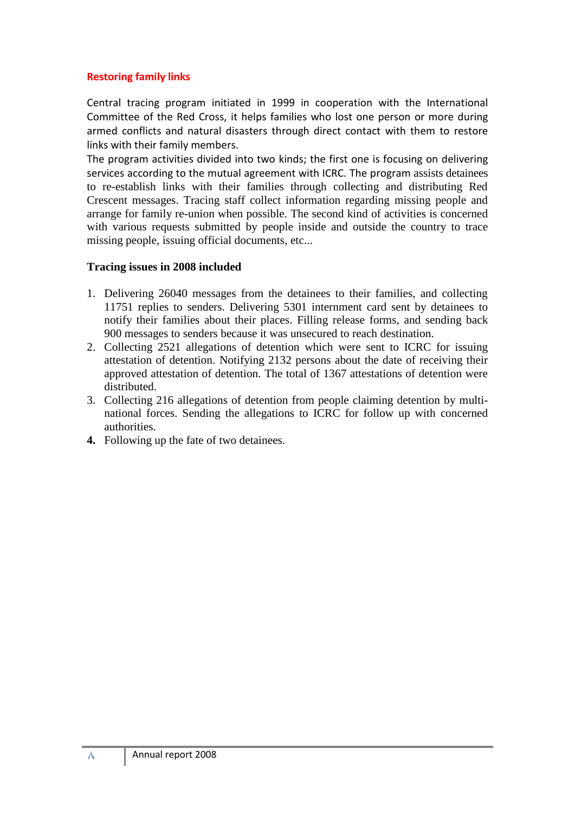## **Restoring family links**

Central tracing program initiated in 1999 in cooperation with the International Committee of the Red Cross, it helps families who lost one person or more during armed conflicts and natural disasters through direct contact with them to restore links with their family members.

The program activities divided into two kinds; the first one is focusing on delivering services according to the mutual agreement with ICRC. The program assists detainees to re-establish links with their families through collecting and distributing Red Crescent messages. Tracing staff collect information regarding missing people and arrange for family re-union when possible. The second kind of activities is concerned with various requests submitted by people inside and outside the country to trace missing people, issuing official documents, etc...

## **Tracing issues in 2008 included**

- 1. Delivering 26040 messages from the detainees to their families, and collecting 11751 replies to senders. Delivering 5301 internment card sent by detainees to notify their families about their places. Filling release forms, and sending back 900 messages to senders because it was unsecured to reach destination.
- 2. Collecting 2521 allegations of detention which were sent to ICRC for issuing attestation of detention. Notifying 2132 persons about the date of receiving their approved attestation of detention. The total of 1367 attestations of detention were distributed.
- 3. Collecting 216 allegations of detention from people claiming detention by multinational forces. Sending the allegations to ICRC for follow up with concerned authorities.
- **4.** Following up the fate of two detainees.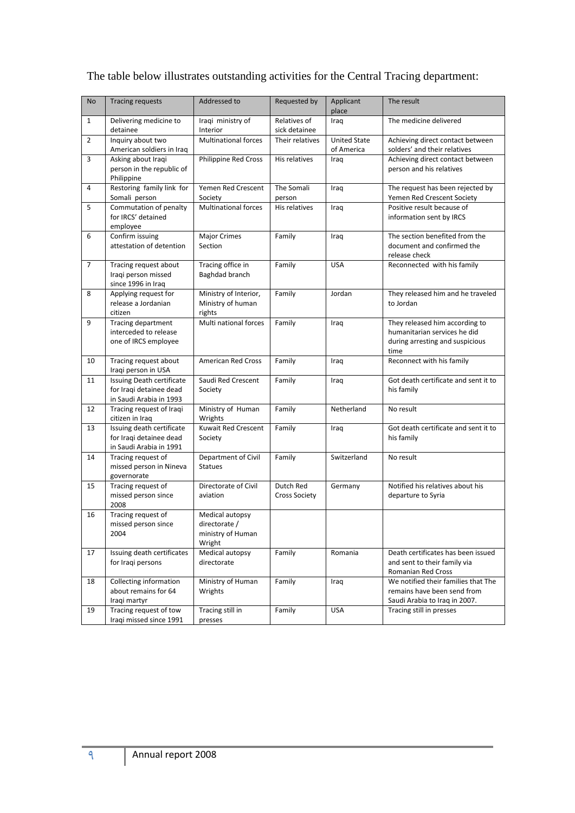The table below illustrates outstanding activities for the Central Tracing department:

| No             | <b>Tracing requests</b>                                                         | Addressed to                                                    | Requested by                      | Applicant<br>place                | The result                                                                                                |
|----------------|---------------------------------------------------------------------------------|-----------------------------------------------------------------|-----------------------------------|-----------------------------------|-----------------------------------------------------------------------------------------------------------|
| $\mathbf{1}$   | Delivering medicine to<br>detainee                                              | Iraqi ministry of<br>Interior                                   | Relatives of<br>sick detainee     | Iraq                              | The medicine delivered                                                                                    |
| $\overline{2}$ | Inquiry about two<br>American soldiers in Iraq                                  | <b>Multinational forces</b>                                     | Their relatives                   | <b>United State</b><br>of America | Achieving direct contact between<br>solders' and their relatives                                          |
| 3              | Asking about Iraqi<br>person in the republic of<br>Philippine                   | Philippine Red Cross                                            | His relatives                     | Iraq                              | Achieving direct contact between<br>person and his relatives                                              |
| 4              | Restoring family link for<br>Somali person                                      | Yemen Red Crescent<br>Society                                   | The Somali<br>person              | Iraq                              | The request has been rejected by<br>Yemen Red Crescent Society                                            |
| 5              | Commutation of penalty<br>for IRCS' detained<br>employee                        | <b>Multinational forces</b>                                     | His relatives                     | Iraq                              | Positive result because of<br>information sent by IRCS                                                    |
| 6              | Confirm issuing<br>attestation of detention                                     | <b>Major Crimes</b><br>Section                                  | Family                            | Iraq                              | The section benefited from the<br>document and confirmed the<br>release check                             |
| $\overline{7}$ | Tracing request about<br>Iraqi person missed<br>since 1996 in Iraq              | Tracing office in<br>Baghdad branch                             | Family                            | <b>USA</b>                        | Reconnected with his family                                                                               |
| 8              | Applying request for<br>release a Jordanian<br>citizen                          | Ministry of Interior,<br>Ministry of human<br>rights            | Family                            | Jordan                            | They released him and he traveled<br>to Jordan                                                            |
| 9              | Tracing department<br>interceded to release<br>one of IRCS employee             | Multi national forces                                           | Family                            | Iraq                              | They released him according to<br>humanitarian services he did<br>during arresting and suspicious<br>time |
| 10             | Tracing request about<br>Iraqi person in USA                                    | American Red Cross                                              | Family                            | Iraq                              | Reconnect with his family                                                                                 |
| 11             | Issuing Death certificate<br>for Iraqi detainee dead<br>in Saudi Arabia in 1993 | Saudi Red Crescent<br>Society                                   | Family                            | Iraq                              | Got death certificate and sent it to<br>his family                                                        |
| 12             | Tracing request of Iraqi<br>citizen in Iraq                                     | Ministry of Human<br>Wrights                                    | Family                            | Netherland                        | No result                                                                                                 |
| 13             | Issuing death certificate<br>for Iraqi detainee dead<br>in Saudi Arabia in 1991 | Kuwait Red Crescent<br>Society                                  | Family                            | Iraq                              | Got death certificate and sent it to<br>his family                                                        |
| 14             | Tracing request of<br>missed person in Nineva<br>governorate                    | Department of Civil<br><b>Statues</b>                           | Family                            | Switzerland                       | No result                                                                                                 |
| 15             | Tracing request of<br>missed person since<br>2008                               | Directorate of Civil<br>aviation                                | Dutch Red<br><b>Cross Society</b> | Germany                           | Notified his relatives about his<br>departure to Syria                                                    |
| 16             | Tracing request of<br>missed person since<br>2004                               | Medical autopsy<br>directorate /<br>ministry of Human<br>Wright |                                   |                                   |                                                                                                           |
| 17             | Issuing death certificates<br>for Iragi persons                                 | Medical autopsy<br>directorate                                  | Family                            | Romania                           | Death certificates has been issued<br>and sent to their family via<br>Romanian Red Cross                  |
| 18             | Collecting information<br>about remains for 64<br>Iraqi martyr                  | Ministry of Human<br>Wrights                                    | Family                            | Iraq                              | We notified their families that The<br>remains have been send from<br>Saudi Arabia to Iraq in 2007.       |
| 19             | Tracing request of tow<br>Iraqi missed since 1991                               | Tracing still in<br>presses                                     | Family                            | <b>USA</b>                        | Tracing still in presses                                                                                  |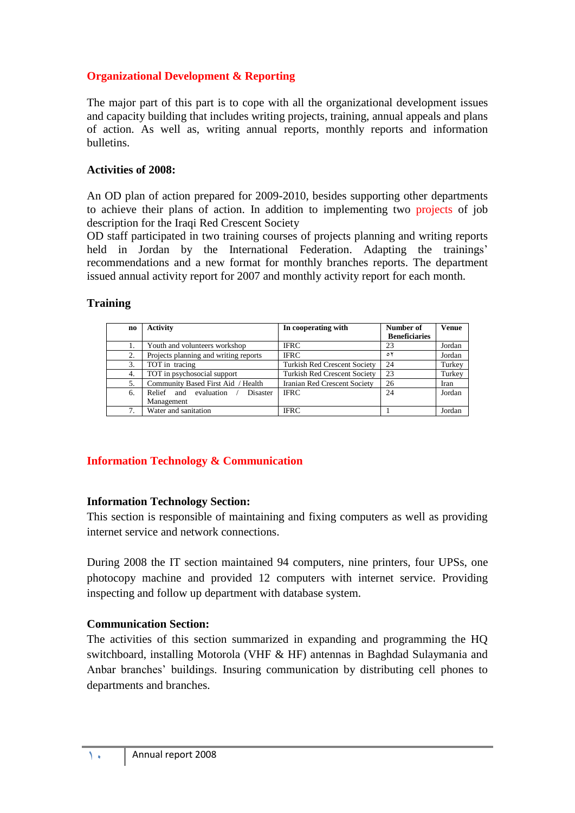# **Organizational Development & Reporting**

The major part of this part is to cope with all the organizational development issues and capacity building that includes writing projects, training, annual appeals and plans of action. As well as, writing annual reports, monthly reports and information bulletins.

## **Activities of 2008:**

An OD plan of action prepared for 2009-2010, besides supporting other departments to achieve their plans of action. In addition to implementing two projects of job description for the Iraqi Red Crescent Society

OD staff participated in two training courses of projects planning and writing reports held in Jordan by the International Federation. Adapting the trainings' recommendations and a new format for monthly branches reports. The department issued annual activity report for 2007 and monthly activity report for each month.

# **Training**

| no | <b>Activity</b>                       | In cooperating with                 | Number of            | <b>Venue</b> |
|----|---------------------------------------|-------------------------------------|----------------------|--------------|
|    |                                       |                                     | <b>Beneficiaries</b> |              |
|    | Youth and volunteers workshop         | <b>IFRC</b>                         | 23                   | Jordan       |
| 2. | Projects planning and writing reports | <b>IFRC</b>                         | ٥٢                   | Jordan       |
| 3. | TOT in tracing                        | <b>Turkish Red Crescent Society</b> | 24                   | Turkey       |
| 4. | TOT in psychosocial support           | <b>Turkish Red Crescent Society</b> | 23                   | Turkey       |
| 5. | Community Based First Aid / Health    | Iranian Red Crescent Society        | 26                   | Iran         |
| 6. | evaluation<br>Disaster<br>Relief and  | <b>IFRC</b>                         | 24                   | Jordan       |
|    | Management                            |                                     |                      |              |
|    | Water and sanitation                  | <b>IFRC</b>                         |                      | Jordan       |

# **Information Technology & Communication**

# **Information Technology Section:**

This section is responsible of maintaining and fixing computers as well as providing internet service and network connections.

During 2008 the IT section maintained 94 computers, nine printers, four UPSs, one photocopy machine and provided 12 computers with internet service. Providing inspecting and follow up department with database system.

# **Communication Section:**

The activities of this section summarized in expanding and programming the HQ switchboard, installing Motorola (VHF & HF) antennas in Baghdad Sulaymania and Anbar branches' buildings. Insuring communication by distributing cell phones to departments and branches.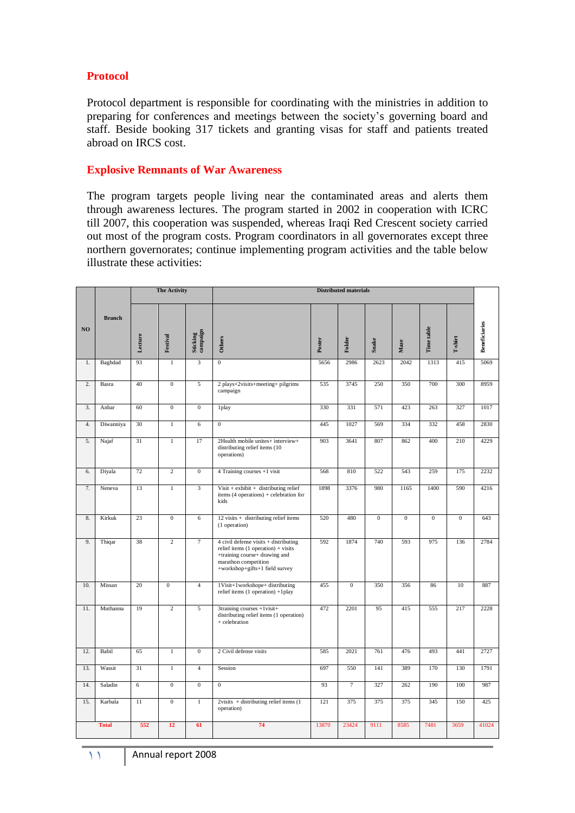## **Protocol**

Protocol department is responsible for coordinating with the ministries in addition to preparing for conferences and meetings between the society's governing board and staff. Beside booking 317 tickets and granting visas for staff and patients treated abroad on IRCS cost.

## **Explosive Remnants of War Awareness**

The program targets people living near the contaminated areas and alerts them through awareness lectures. The program started in 2002 in cooperation with ICRC till 2007, this cooperation was suspended, whereas Iraqi Red Crescent society carried out most of the program costs. Program coordinators in all governorates except three northern governorates; continue implementing program activities and the table below illustrate these activities:

|     |               |                 | <b>The Activity</b> |                      | <b>Distributed materials</b>                                                                                                                                                  |        |                |              |              |              |                           |                      |
|-----|---------------|-----------------|---------------------|----------------------|-------------------------------------------------------------------------------------------------------------------------------------------------------------------------------|--------|----------------|--------------|--------------|--------------|---------------------------|----------------------|
| NO  | <b>Branch</b> | Lecture         | Festival            | Sticking<br>campaign | Others                                                                                                                                                                        | Poster | Folder         | <b>Snake</b> | Maze         | Time table   | $\mathbf{T}\text{-shirt}$ | <b>Beneficiaries</b> |
| 1.  | Baghdad       | 93              | $1\,$               | $\overline{3}$       | $\overline{0}$                                                                                                                                                                | 5656   | 2986           | 2623         | 2042         | 1313         | 415                       | 5069                 |
| 2.  | Basra         | 40              | $\overline{0}$      | 5                    | 2 plays+2visits+meeting+ pilgrims<br>campaign                                                                                                                                 | 535    | 3745           | 250          | 350          | 700          | 300                       | 8959                 |
| 3.  | Anbar         | 60              | $\overline{0}$      | $\overline{0}$       | 1play                                                                                                                                                                         | 330    | 331            | 571          | 423          | 263          | 327                       | 1017                 |
| 4.  | Diwanniya     | 30              | $\overline{1}$      | $6\overline{6}$      | $\overline{0}$                                                                                                                                                                | 445    | 1027           | 569          | 334          | 332          | 458                       | 2830                 |
| 5.  | Najaf         | 31              | $\overline{1}$      | 17                   | 2Health mobile unites+ interview+<br>distributing relief items (10<br>operations)                                                                                             | 903    | 3641           | 807          | 862          | 400          | 210                       | 4229                 |
| 6.  | Diyala        | 72              | $\overline{2}$      | $\overline{0}$       | 4 Training courses +1 visit                                                                                                                                                   | 568    | 810            | 522          | 543          | 259          | 175                       | 2232                 |
| 7.  | Neneva        | 13              | $\overline{1}$      | $\overline{3}$       | $Visit + exhibit + distributing relief$<br>items (4 operations) + celebration for<br>kids                                                                                     | 1898   | 3376           | 980          | 1165         | 1400         | 590                       | 4216                 |
| 8.  | Kirkuk        | 23              | $\mathbf{0}$        | 6                    | 12 visits + distributing relief items<br>(1 operation)                                                                                                                        | 520    | 480            | $\mathbf{0}$ | $\mathbf{0}$ | $\mathbf{0}$ | $\mathbf{0}$              | 643                  |
| 9.  | Thiqar        | 38              | $\overline{2}$      | $\tau$               | $4$ civil defense visits $+$ distributing<br>relief items $(1$ operation) + visits<br>+training course+ drawing and<br>marathon competition<br>+workshop+gifts+1 field survey | 592    | 1874           | 740          | 593          | 975          | 136                       | 2784                 |
| 10. | Missan        | 20              | $\overline{0}$      | $\overline{4}$       | 1Visit+1workshope+ distributing<br>relief items (1 operation) +1play                                                                                                          | 455    | $\overline{0}$ | 350          | 356          | 86           | 10                        | 887                  |
| 11. | Muthanna      | 19              | $\overline{2}$      | 5                    | 3training courses +1visit+<br>distributing relief items (1 operation)<br>+ celebration                                                                                        | 472    | 2201           | 95           | 415          | 555          | 217                       | 2228                 |
| 12. | Babil         | 65              | $1\,$               | $\overline{0}$       | 2 Civil defense visits                                                                                                                                                        | 585    | 2021           | 761          | 476          | 493          | 441                       | 2727                 |
| 13. | Wassit        | 31              | $\overline{1}$      | $\overline{4}$       | Session                                                                                                                                                                       | 697    | 550            | 141          | 389          | 170          | 130                       | 1791                 |
| 14. | Saladin       | $6\overline{6}$ | $\overline{0}$      | $\overline{0}$       | $\overline{0}$                                                                                                                                                                | 93     | $\overline{7}$ | 327          | 262          | 190          | 100                       | 987                  |
| 15. | Karbala       | 11              | $\overline{0}$      | $\overline{1}$       | $2visits + distributing relief items (1$<br>operation)                                                                                                                        | 121    | 375            | 375          | 375          | 345          | 150                       | 425                  |
|     | <b>Total</b>  | 552             | 12                  | 61                   | 74                                                                                                                                                                            | 13870  | 23424          | 9111         | 8585         | 7481         | 3659                      | 41024                |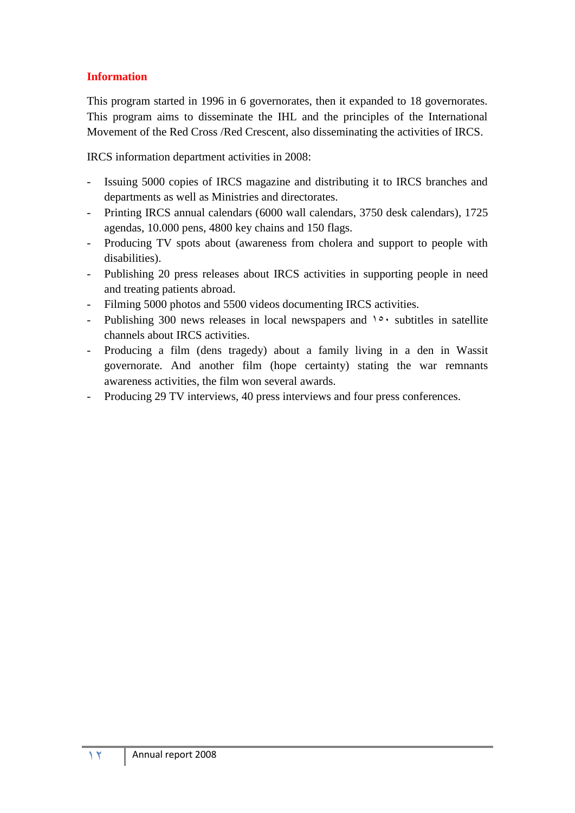# **Information**

This program started in 1996 in 6 governorates, then it expanded to 18 governorates. This program aims to disseminate the IHL and the principles of the International Movement of the Red Cross /Red Crescent, also disseminating the activities of IRCS.

IRCS information department activities in 2008:

- Issuing 5000 copies of IRCS magazine and distributing it to IRCS branches and departments as well as Ministries and directorates.
- Printing IRCS annual calendars (6000 wall calendars, 3750 desk calendars), 1725 agendas, 10.000 pens, 4800 key chains and 150 flags.
- Producing TV spots about (awareness from cholera and support to people with disabilities).
- Publishing 20 press releases about IRCS activities in supporting people in need and treating patients abroad.
- Filming 5000 photos and 5500 videos documenting IRCS activities.
- Publishing 300 news releases in local newspapers and  $10$  subtitles in satellite channels about IRCS activities.
- Producing a film (dens tragedy) about a family living in a den in Wassit governorate. And another film (hope certainty) stating the war remnants awareness activities, the film won several awards.
- Producing 29 TV interviews, 40 press interviews and four press conferences.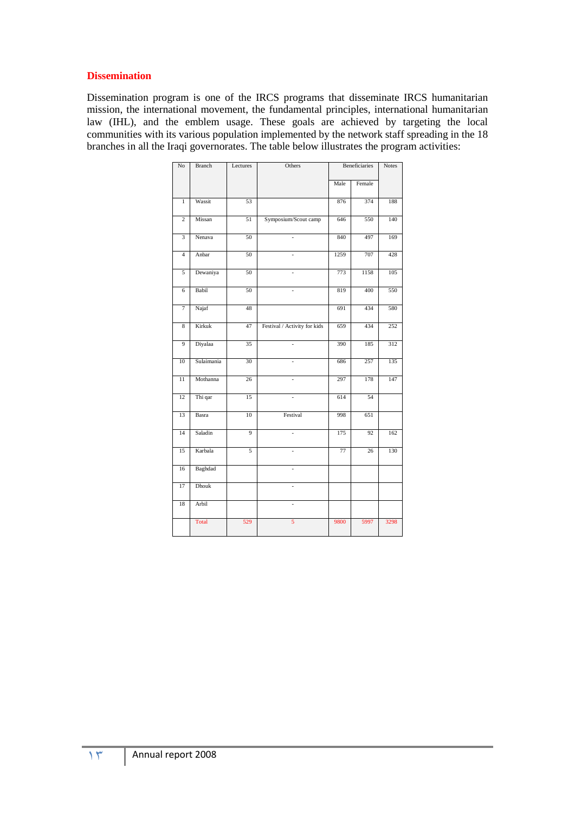#### **Dissemination**

Dissemination program is one of the IRCS programs that disseminate IRCS humanitarian mission, the international movement, the fundamental principles, international humanitarian law (IHL), and the emblem usage. These goals are achieved by targeting the local communities with its various population implemented by the network staff spreading in the 18 branches in all the Iraqi governorates. The table below illustrates the program activities:

| No              | <b>Branch</b> | Lectures | Others                       | Beneficiaries |        | Notes |
|-----------------|---------------|----------|------------------------------|---------------|--------|-------|
|                 |               |          |                              | Male          | Female |       |
| $\,1$           | Wassit        | 53       |                              | 876           | 374    | 188   |
| $\overline{2}$  | Missan        | 51       | Symposium/Scout camp         | 646           | 550    | 140   |
| $\overline{3}$  | Nenava        | 50       | $\overline{a}$               | 840           | 497    | 169   |
| $\overline{4}$  | Anbar         | 50       | $\overline{a}$               | 1259          | 707    | 428   |
| 5               | Dewaniya      | 50       | $\overline{a}$               | 773           | 1158   | 105   |
| 6               | Babil         | 50       |                              | 819           | 400    | 550   |
| $\overline{7}$  | Najaf         | 48       |                              | 691           | 434    | 580   |
| $\overline{8}$  | Kirkuk        | 47       | Festival / Activity for kids | 659           | 434    | 252   |
| 9               | Diyalaa       | 35       | $\overline{a}$               | 390           | 185    | 312   |
| 10              | Sulaimania    | 30       | L.                           | 686           | 257    | 135   |
| $\overline{11}$ | Mothanna      | 26       | $\overline{a}$               | 297           | 178    | 147   |
| 12              | Thi qar       | 15       | $\overline{a}$               | 614           | 54     |       |
| 13              | Basra         | 10       | Festival                     | 998           | 651    |       |
| 14              | Saladin       | 9        | $\overline{a}$               | 175           | 92     | 162   |
| 15              | Karbala       | 5        | ÷,                           | 77            | 26     | 130   |
| 16              | Baghdad       |          | $\overline{a}$               |               |        |       |
| 17              | Dhouk         |          | $\overline{a}$               |               |        |       |
| 18              | Arbil         |          | $\overline{a}$               |               |        |       |
|                 | Total         | 529      | 5                            | 9800          | 5997   | 3298  |